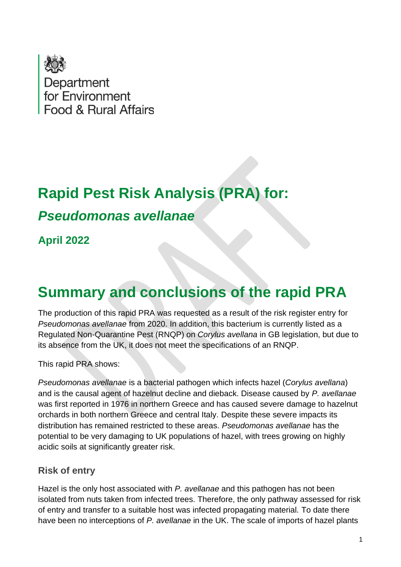

# **Rapid Pest Risk Analysis (PRA) for:**

## *Pseudomonas avellanae*

**April 2022**

## **Summary and conclusions of the rapid PRA**

The production of this rapid PRA was requested as a result of the risk register entry for *Pseudomonas avellanae* from 2020. In addition, this bacterium is currently listed as a Regulated Non-Quarantine Pest (RNQP) on *Corylus avellana* in GB legislation, but due to its absence from the UK, it does not meet the specifications of an RNQP.

This rapid PRA shows:

*Pseudomonas avellanae* is a bacterial pathogen which infects hazel (*Corylus avellana*) and is the causal agent of hazelnut decline and dieback. Disease caused by *P. avellanae* was first reported in 1976 in northern Greece and has caused severe damage to hazelnut orchards in both northern Greece and central Italy. Despite these severe impacts its distribution has remained restricted to these areas. *Pseudomonas avellanae* has the potential to be very damaging to UK populations of hazel, with trees growing on highly acidic soils at significantly greater risk.

#### **Risk of entry**

Hazel is the only host associated with *P. avellanae* and this pathogen has not been isolated from nuts taken from infected trees. Therefore, the only pathway assessed for risk of entry and transfer to a suitable host was infected propagating material. To date there have been no interceptions of *P. avellanae* in the UK. The scale of imports of hazel plants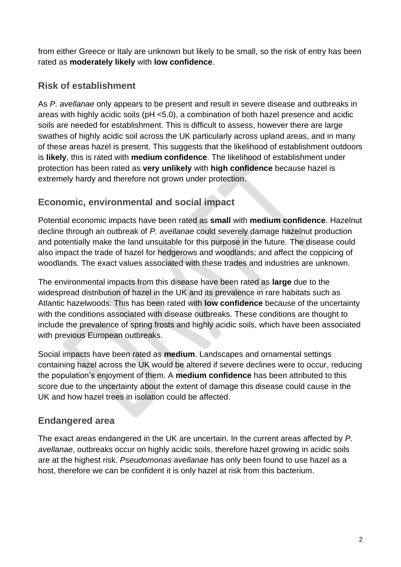from either Greece or Italy are unknown but likely to be small, so the risk of entry has been rated as **moderately likely** with **low confidence**.

#### **Risk of establishment**

As *P. avellanae* only appears to be present and result in severe disease and outbreaks in areas with highly acidic soils (pH <5.0), a combination of both hazel presence and acidic soils are needed for establishment. This is difficult to assess, however there are large swathes of highly acidic soil across the UK particularly across upland areas, and in many of these areas hazel is present. This suggests that the likelihood of establishment outdoors is **likely**, this is rated with **medium confidence**. The likelihood of establishment under protection has been rated as **very unlikely** with **high confidence** because hazel is extremely hardy and therefore not grown under protection.

#### **Economic, environmental and social impact**

Potential economic impacts have been rated as **small** with **medium confidence**. Hazelnut decline through an outbreak of *P. avellanae* could severely damage hazelnut production and potentially make the land unsuitable for this purpose in the future. The disease could also impact the trade of hazel for hedgerows and woodlands; and affect the coppicing of woodlands. The exact values associated with these trades and industries are unknown.

The environmental impacts from this disease have been rated as **large** due to the widespread distribution of hazel in the UK and its prevalence in rare habitats such as Atlantic hazelwoods. This has been rated with **low confidence** because of the uncertainty with the conditions associated with disease outbreaks. These conditions are thought to include the prevalence of spring frosts and highly acidic soils, which have been associated with previous European outbreaks.

Social impacts have been rated as **medium**. Landscapes and ornamental settings containing hazel across the UK would be altered if severe declines were to occur, reducing the population's enjoyment of them. A **medium confidence** has been attributed to this score due to the uncertainty about the extent of damage this disease could cause in the UK and how hazel trees in isolation could be affected.

#### **Endangered area**

The exact areas endangered in the UK are uncertain. In the current areas affected by *P. avellanae*, outbreaks occur on highly acidic soils, therefore hazel growing in acidic soils are at the highest risk. *Pseudomonas avellanae* has only been found to use hazel as a host, therefore we can be confident it is only hazel at risk from this bacterium.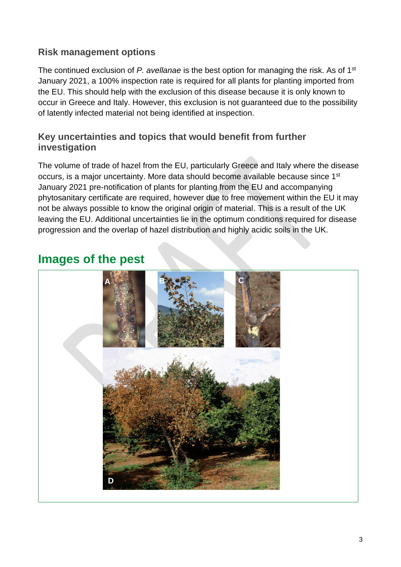#### **Risk management options**

The continued exclusion of *P. avellanae* is the best option for managing the risk. As of 1st January 2021, a 100% inspection rate is required for all plants for planting imported from the EU. This should help with the exclusion of this disease because it is only known to occur in Greece and Italy. However, this exclusion is not guaranteed due to the possibility of latently infected material not being identified at inspection.

#### **Key uncertainties and topics that would benefit from further investigation**

The volume of trade of hazel from the EU, particularly Greece and Italy where the disease occurs, is a major uncertainty. More data should become available because since 1st January 2021 pre-notification of plants for planting from the EU and accompanying phytosanitary certificate are required, however due to free movement within the EU it may not be always possible to know the original origin of material. This is a result of the UK leaving the EU. Additional uncertainties lie in the optimum conditions required for disease progression and the overlap of hazel distribution and highly acidic soils in the UK.

## **Images of the pest**

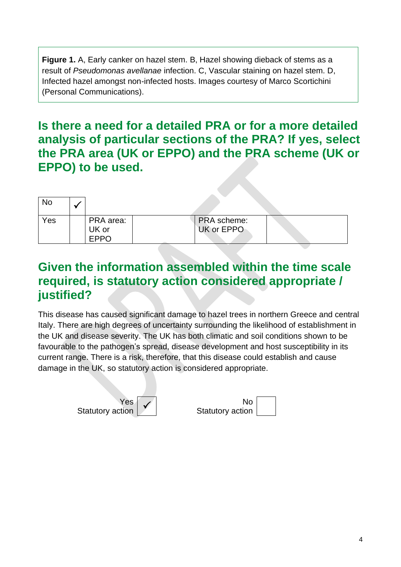**Figure 1.** A, Early canker on hazel stem. B, Hazel showing dieback of stems as a result of *Pseudomonas avellanae* infection. C, Vascular staining on hazel stem. D, Infected hazel amongst non-infected hosts. Images courtesy of Marco Scortichini (Personal Communications).

### **Is there a need for a detailed PRA or for a more detailed analysis of particular sections of the PRA? If yes, select the PRA area (UK or EPPO) and the PRA scheme (UK or EPPO) to be used.**

| <b>No</b> |                                   |                                  |  |
|-----------|-----------------------------------|----------------------------------|--|
| Yes       | PRA area:<br>UK or<br><b>EPPO</b> | <b>PRA</b> scheme:<br>UK or EPPO |  |

### **Given the information assembled within the time scale required, is statutory action considered appropriate / justified?**

This disease has caused significant damage to hazel trees in northern Greece and central Italy. There are high degrees of uncertainty surrounding the likelihood of establishment in the UK and disease severity. The UK has both climatic and soil conditions shown to be favourable to the pathogen's spread, disease development and host susceptibility in its current range. There is a risk, therefore, that this disease could establish and cause damage in the UK, so statutory action is considered appropriate.



| No <sub>1</sub>  |  |
|------------------|--|
| Statutory action |  |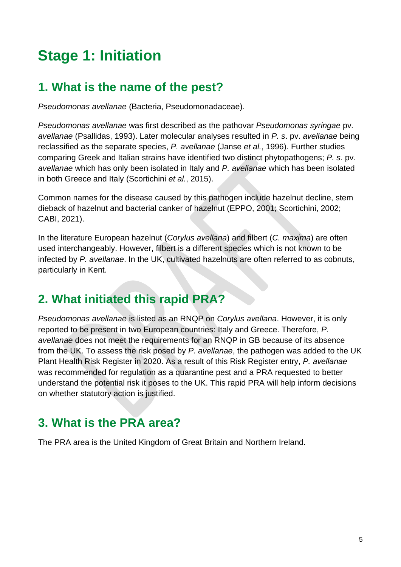## **Stage 1: Initiation**

### **1. What is the name of the pest?**

*Pseudomonas avellanae* (Bacteria, Pseudomonadaceae).

*Pseudomonas avellanae* was first described as the pathovar *Pseudomonas syringae* pv*. avellanae* (Psallidas, 1993). Later molecular analyses resulted in *P. s*. pv. *avellanae* being reclassified as the separate species, *P. avellanae* (Janse *et al.*, 1996). Further studies comparing Greek and Italian strains have identified two distinct phytopathogens; *P. s.* pv. *avellanae* which has only been isolated in Italy and *P. avellanae* which has been isolated in both Greece and Italy (Scortichini *et al.*, 2015).

Common names for the disease caused by this pathogen include hazelnut decline, stem dieback of hazelnut and bacterial canker of hazelnut (EPPO, 2001; Scortichini, 2002; CABI, 2021).

In the literature European hazelnut (*Corylus avellana*) and filbert (*C. maxima*) are often used interchangeably. However, filbert is a different species which is not known to be infected by *P. avellanae*. In the UK, cultivated hazelnuts are often referred to as cobnuts, particularly in Kent.

## **2. What initiated this rapid PRA?**

*Pseudomonas avellanae* is listed as an RNQP on *Corylus avellana*. However, it is only reported to be present in two European countries: Italy and Greece. Therefore, *P. avellanae* does not meet the requirements for an RNQP in GB because of its absence from the UK. To assess the risk posed by *P. avellanae*, the pathogen was added to the UK Plant Health Risk Register in 2020. As a result of this Risk Register entry, *P. avellanae* was recommended for regulation as a quarantine pest and a PRA requested to better understand the potential risk it poses to the UK. This rapid PRA will help inform decisions on whether statutory action is justified.

## **3. What is the PRA area?**

The PRA area is the United Kingdom of Great Britain and Northern Ireland.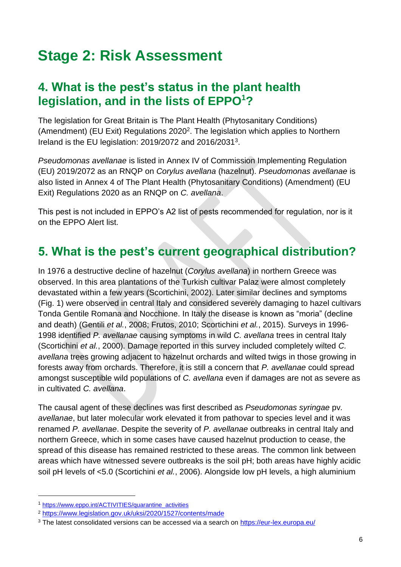## **Stage 2: Risk Assessment**

#### **4. What is the pest's status in the plant health legislation, and in the lists of EPPO<sup>1</sup>?**

The legislation for Great Britain is The Plant Health (Phytosanitary Conditions) (Amendment) (EU Exit) Regulations 2020<sup>2</sup>. The legislation which applies to Northern Ireland is the EU legislation: 2019/2072 and 2016/2031<sup>3</sup>.

*Pseudomonas avellanae* is listed in Annex IV of Commission Implementing Regulation (EU) 2019/2072 as an RNQP on *Corylus avellana* (hazelnut). *Pseudomonas avellanae* is also listed in Annex 4 of The Plant Health (Phytosanitary Conditions) (Amendment) (EU Exit) Regulations 2020 as an RNQP on *C. avellana*.

This pest is not included in EPPO's A2 list of pests recommended for regulation, nor is it on the EPPO Alert list.

## **5. What is the pest's current geographical distribution?**

In 1976 a destructive decline of hazelnut (*Corylus avellana*) in northern Greece was observed. In this area plantations of the Turkish cultivar Palaz were almost completely devastated within a few years (Scortichini, 2002). Later similar declines and symptoms (Fig. 1) were observed in central Italy and considered severely damaging to hazel cultivars Tonda Gentile Romana and Nocchione. In Italy the disease is known as "moria" (decline and death) (Gentili *et al.*, 2008; Frutos, 2010; Scortichini *et al.*, 2015). Surveys in 1996- 1998 identified *P. avellanae* causing symptoms in wild *C. avellana* trees in central Italy (Scortichini *et al.*, 2000). Damage reported in this survey included completely wilted *C. avellana* trees growing adjacent to hazelnut orchards and wilted twigs in those growing in forests away from orchards. Therefore, it is still a concern that *P. avellanae* could spread amongst susceptible wild populations of *C. avellana* even if damages are not as severe as in cultivated *C. avellana*.

The causal agent of these declines was first described as *Pseudomonas syringae* pv*. avellanae*, but later molecular work elevated it from pathovar to species level and it was renamed *P. avellanae*. Despite the severity of *P. avellanae* outbreaks in central Italy and northern Greece, which in some cases have caused hazelnut production to cease, the spread of this disease has remained restricted to these areas. The common link between areas which have witnessed severe outbreaks is the soil pH; both areas have highly acidic soil pH levels of <5.0 (Scortichini *et al.*, 2006). Alongside low pH levels, a high aluminium

<sup>1</sup> [https://www.eppo.int/ACTIVITIES/quarantine\\_activities](https://www.eppo.int/ACTIVITIES/quarantine_activities)

<sup>2</sup> <https://www.legislation.gov.uk/uksi/2020/1527/contents/made>

<sup>&</sup>lt;sup>3</sup> The latest consolidated versions can be accessed via a search on<https://eur-lex.europa.eu/>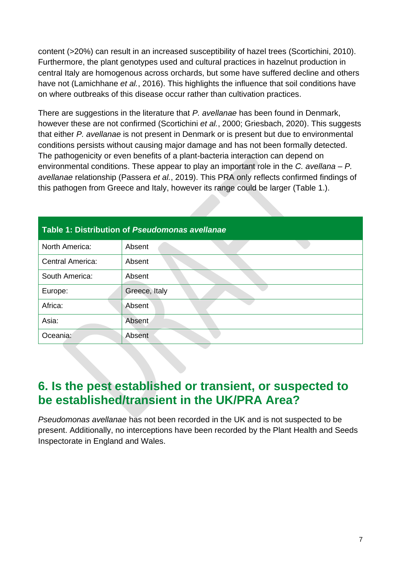content (>20%) can result in an increased susceptibility of hazel trees (Scortichini, 2010). Furthermore, the plant genotypes used and cultural practices in hazelnut production in central Italy are homogenous across orchards, but some have suffered decline and others have not (Lamichhane *et al.*, 2016). This highlights the influence that soil conditions have on where outbreaks of this disease occur rather than cultivation practices.

There are suggestions in the literature that *P. avellanae* has been found in Denmark, however these are not confirmed (Scortichini *et al.*, 2000; Griesbach, 2020). This suggests that either *P. avellanae* is not present in Denmark or is present but due to environmental conditions persists without causing major damage and has not been formally detected. The pathogenicity or even benefits of a plant-bacteria interaction can depend on environmental conditions. These appear to play an important role in the *C. avellana* – *P. avellanae* relationship (Passera *et al.*, 2019). This PRA only reflects confirmed findings of this pathogen from Greece and Italy, however its range could be larger (Table 1.).

| Table 1: Distribution of Pseudomonas avellanae |               |  |  |  |  |  |
|------------------------------------------------|---------------|--|--|--|--|--|
| North America:                                 | Absent        |  |  |  |  |  |
| Central America:                               | Absent        |  |  |  |  |  |
| South America:                                 | Absent        |  |  |  |  |  |
| Europe:                                        | Greece, Italy |  |  |  |  |  |
| Africa:                                        | Absent        |  |  |  |  |  |
| Asia:                                          | Absent        |  |  |  |  |  |
| Oceania:                                       | Absent        |  |  |  |  |  |

### **6. Is the pest established or transient, or suspected to be established/transient in the UK/PRA Area?**

*Pseudomonas avellanae* has not been recorded in the UK and is not suspected to be present. Additionally, no interceptions have been recorded by the Plant Health and Seeds Inspectorate in England and Wales.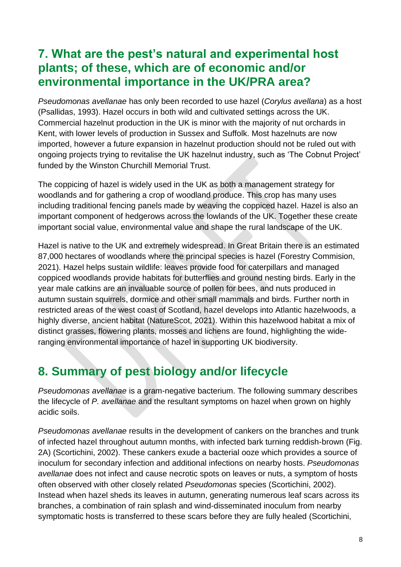### **7. What are the pest's natural and experimental host plants; of these, which are of economic and/or environmental importance in the UK/PRA area?**

*Pseudomonas avellanae* has only been recorded to use hazel (*Corylus avellana*) as a host (Psallidas, 1993). Hazel occurs in both wild and cultivated settings across the UK. Commercial hazelnut production in the UK is minor with the majority of nut orchards in Kent, with lower levels of production in Sussex and Suffolk. Most hazelnuts are now imported, however a future expansion in hazelnut production should not be ruled out with ongoing projects trying to revitalise the UK hazelnut industry, such as 'The Cobnut Project' funded by the Winston Churchill Memorial Trust.

The coppicing of hazel is widely used in the UK as both a management strategy for woodlands and for gathering a crop of woodland produce. This crop has many uses including traditional fencing panels made by weaving the coppiced hazel. Hazel is also an important component of hedgerows across the lowlands of the UK. Together these create important social value, environmental value and shape the rural landscape of the UK.

Hazel is native to the UK and extremely widespread. In Great Britain there is an estimated 87,000 hectares of woodlands where the principal species is hazel (Forestry Commision, 2021). Hazel helps sustain wildlife: leaves provide food for caterpillars and managed coppiced woodlands provide habitats for butterflies and ground nesting birds. Early in the year male catkins are an invaluable source of pollen for bees, and nuts produced in autumn sustain squirrels, dormice and other small mammals and birds. Further north in restricted areas of the west coast of Scotland, hazel develops into Atlantic hazelwoods, a highly diverse, ancient habitat (NatureScot, 2021). Within this hazelwood habitat a mix of distinct grasses, flowering plants, mosses and lichens are found, highlighting the wideranging environmental importance of hazel in supporting UK biodiversity.

## **8. Summary of pest biology and/or lifecycle**

*Pseudomonas avellanae* is a gram-negative bacterium. The following summary describes the lifecycle of *P. avellanae* and the resultant symptoms on hazel when grown on highly acidic soils.

*Pseudomonas avellanae* results in the development of cankers on the branches and trunk of infected hazel throughout autumn months, with infected bark turning reddish-brown (Fig. 2A) (Scortichini, 2002). These cankers exude a bacterial ooze which provides a source of inoculum for secondary infection and additional infections on nearby hosts. *Pseudomonas avellanae* does not infect and cause necrotic spots on leaves or nuts, a symptom of hosts often observed with other closely related *Pseudomonas* species (Scortichini, 2002). Instead when hazel sheds its leaves in autumn, generating numerous leaf scars across its branches, a combination of rain splash and wind-disseminated inoculum from nearby symptomatic hosts is transferred to these scars before they are fully healed (Scortichini,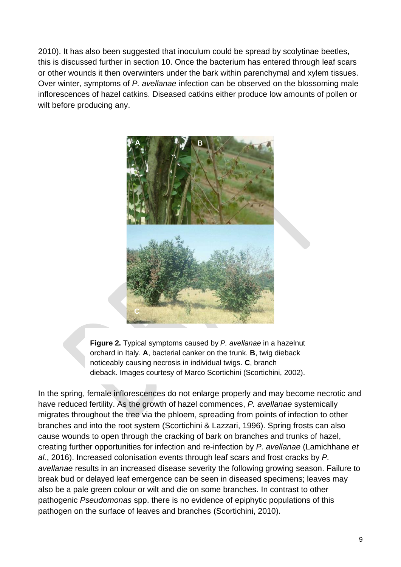2010). It has also been suggested that inoculum could be spread by scolytinae beetles, this is discussed further in section 10. Once the bacterium has entered through leaf scars or other wounds it then overwinters under the bark within parenchymal and xylem tissues. Over winter, symptoms of *P. avellanae* infection can be observed on the blossoming male inflorescences of hazel catkins. Diseased catkins either produce low amounts of pollen or wilt before producing any.



**Figure 2.** Typical symptoms caused by *P. avellanae* in a hazelnut orchard in Italy. **A**, bacterial canker on the trunk. **B**, twig dieback noticeably causing necrosis in individual twigs. **C**, branch dieback. Images courtesy of Marco Scortichini (Scortichini, 2002).

In the spring, female inflorescences do not enlarge properly and may become necrotic and have reduced fertility. As the growth of hazel commences, *P. avellanae* systemically migrates throughout the tree via the phloem, spreading from points of infection to other branches and into the root system (Scortichini & Lazzari, 1996). Spring frosts can also cause wounds to open through the cracking of bark on branches and trunks of hazel, creating further opportunities for infection and re-infection by *P. avellanae* (Lamichhane *et al.*, 2016). Increased colonisation events through leaf scars and frost cracks by *P. avellanae* results in an increased disease severity the following growing season. Failure to break bud or delayed leaf emergence can be seen in diseased specimens; leaves may also be a pale green colour or wilt and die on some branches. In contrast to other pathogenic *Pseudomonas* spp. there is no evidence of epiphytic populations of this pathogen on the surface of leaves and branches (Scortichini, 2010).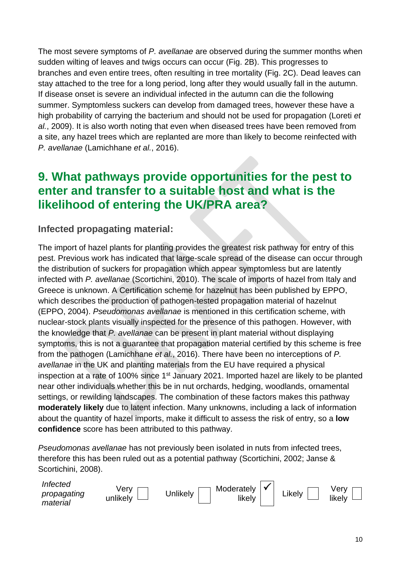The most severe symptoms of *P. avellanae* are observed during the summer months when sudden wilting of leaves and twigs occurs can occur (Fig. 2B). This progresses to branches and even entire trees, often resulting in tree mortality (Fig. 2C). Dead leaves can stay attached to the tree for a long period, long after they would usually fall in the autumn. If disease onset is severe an individual infected in the autumn can die the following summer. Symptomless suckers can develop from damaged trees, however these have a high probability of carrying the bacterium and should not be used for propagation (Loreti *et al.*, 2009). It is also worth noting that even when diseased trees have been removed from a site, any hazel trees which are replanted are more than likely to become reinfected with *P. avellanae* (Lamichhane *et al.*, 2016).

#### **9. What pathways provide opportunities for the pest to enter and transfer to a suitable host and what is the likelihood of entering the UK/PRA area?**

#### **Infected propagating material:**

The import of hazel plants for planting provides the greatest risk pathway for entry of this pest. Previous work has indicated that large-scale spread of the disease can occur through the distribution of suckers for propagation which appear symptomless but are latently infected with *P. avellanae* (Scortichini, 2010). The scale of imports of hazel from Italy and Greece is unknown. A Certification scheme for hazelnut has been published by EPPO, which describes the production of pathogen-tested propagation material of hazelnut (EPPO, 2004). *Pseudomonas avellanae* is mentioned in this certification scheme, with nuclear-stock plants visually inspected for the presence of this pathogen. However, with the knowledge that *P. avellanae* can be present in plant material without displaying symptoms, this is not a guarantee that propagation material certified by this scheme is free from the pathogen (Lamichhane *et al.*, 2016). There have been no interceptions of *P. avellanae* in the UK and planting materials from the EU have required a physical inspection at a rate of 100% since 1<sup>st</sup> January 2021. Imported hazel are likely to be planted near other individuals whether this be in nut orchards, hedging, woodlands, ornamental settings, or rewilding landscapes. The combination of these factors makes this pathway **moderately likely** due to latent infection. Many unknowns, including a lack of information about the quantity of hazel imports, make it difficult to assess the risk of entry, so a **low confidence** score has been attributed to this pathway.

*Pseudomonas avellanae* has not previously been isolated in nuts from infected trees, therefore this has been ruled out as a potential pathway (Scortichini, 2002; Janse & Scortichini, 2008).

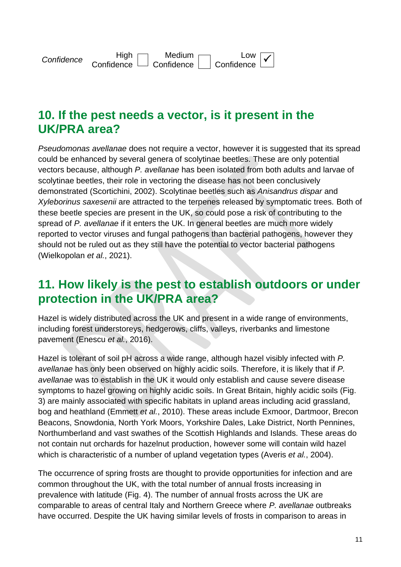

#### **10. If the pest needs a vector, is it present in the UK/PRA area?**

*Pseudomonas avellanae* does not require a vector, however it is suggested that its spread could be enhanced by several genera of scolytinae beetles. These are only potential vectors because, although *P. avellanae* has been isolated from both adults and larvae of scolytinae beetles, their role in vectoring the disease has not been conclusively demonstrated (Scortichini, 2002). Scolytinae beetles such as *Anisandrus dispar* and *Xyleborinus saxesenii* are attracted to the terpenes released by symptomatic trees*.* Both of these beetle species are present in the UK, so could pose a risk of contributing to the spread of *P. avellanae* if it enters the UK. In general beetles are much more widely reported to vector viruses and fungal pathogens than bacterial pathogens, however they should not be ruled out as they still have the potential to vector bacterial pathogens (Wielkopolan *et al.*, 2021).

#### **11. How likely is the pest to establish outdoors or under protection in the UK/PRA area?**

Hazel is widely distributed across the UK and present in a wide range of environments, including forest understoreys, hedgerows, cliffs, valleys, riverbanks and limestone pavement (Enescu *et al.*, 2016).

Hazel is tolerant of soil pH across a wide range, although hazel visibly infected with *P. avellanae* has only been observed on highly acidic soils. Therefore, it is likely that if *P. avellanae* was to establish in the UK it would only establish and cause severe disease symptoms to hazel growing on highly acidic soils. In Great Britain, highly acidic soils (Fig. 3) are mainly associated with specific habitats in upland areas including acid grassland, bog and heathland (Emmett *et al.*, 2010). These areas include Exmoor, Dartmoor, Brecon Beacons, Snowdonia, North York Moors, Yorkshire Dales, Lake District, North Pennines, Northumberland and vast swathes of the Scottish Highlands and Islands. These areas do not contain nut orchards for hazelnut production, however some will contain wild hazel which is characteristic of a number of upland vegetation types (Averis *et al.*, 2004).

The occurrence of spring frosts are thought to provide opportunities for infection and are common throughout the UK, with the total number of annual frosts increasing in prevalence with latitude (Fig. 4). The number of annual frosts across the UK are comparable to areas of central Italy and Northern Greece where *P. avellanae* outbreaks have occurred. Despite the UK having similar levels of frosts in comparison to areas in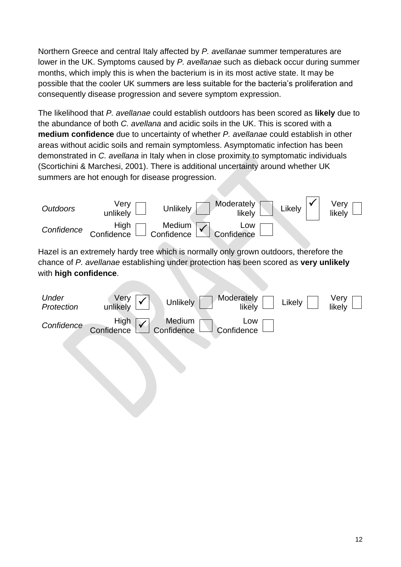Northern Greece and central Italy affected by *P. avellanae* summer temperatures are lower in the UK. Symptoms caused by *P. avellanae* such as dieback occur during summer months, which imply this is when the bacterium is in its most active state. It may be possible that the cooler UK summers are less suitable for the bacteria's proliferation and consequently disease progression and severe symptom expression.

The likelihood that *P. avellanae* could establish outdoors has been scored as **likely** due to the abundance of both *C. avellana* and acidic soils in the UK. This is scored with a **medium confidence** due to uncertainty of whether *P. avellanae* could establish in other areas without acidic soils and remain symptomless. Asymptomatic infection has been demonstrated in *C. avellana* in Italy when in close proximity to symptomatic individuals (Scortichini & Marchesi, 2001). There is additional uncertainty around whether UK summers are hot enough for disease progression.



Hazel is an extremely hardy tree which is normally only grown outdoors, therefore the chance of *P. avellanae* establishing under protection has been scored as **very unlikely** with **high confidence**.

| Under<br>Protection |                   | Unlikely             | Moderately<br>likely | Likely | Very<br>likely |
|---------------------|-------------------|----------------------|----------------------|--------|----------------|
| Confidence          | High √ Confidence | Medium<br>Confidence | LOW<br>Confidence    |        |                |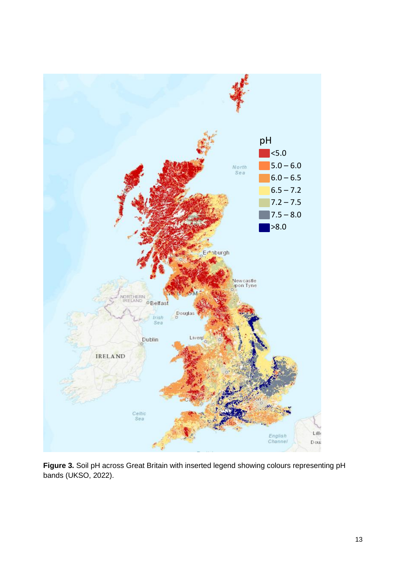

**Figure 3.** Soil pH across Great Britain with inserted legend showing colours representing pH bands (UKSO, 2022).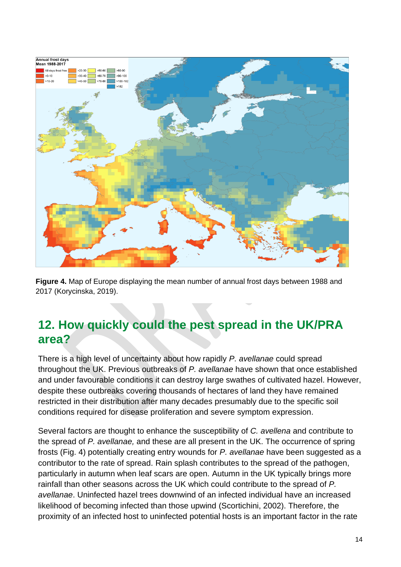

**Figure 4.** Map of Europe displaying the mean number of annual frost days between 1988 and 2017 (Korycinska, 2019).

## **12. How quickly could the pest spread in the UK/PRA area?**

There is a high level of uncertainty about how rapidly *P. avellanae* could spread throughout the UK. Previous outbreaks of *P. avellanae* have shown that once established and under favourable conditions it can destroy large swathes of cultivated hazel. However, despite these outbreaks covering thousands of hectares of land they have remained restricted in their distribution after many decades presumably due to the specific soil conditions required for disease proliferation and severe symptom expression.

Several factors are thought to enhance the susceptibility of *C. avellena* and contribute to the spread of *P. avellanae,* and these are all present in the UK. The occurrence of spring frosts (Fig. 4) potentially creating entry wounds for *P. avellanae* have been suggested as a contributor to the rate of spread. Rain splash contributes to the spread of the pathogen, particularly in autumn when leaf scars are open. Autumn in the UK typically brings more rainfall than other seasons across the UK which could contribute to the spread of *P. avellanae*. Uninfected hazel trees downwind of an infected individual have an increased likelihood of becoming infected than those upwind (Scortichini, 2002). Therefore, the proximity of an infected host to uninfected potential hosts is an important factor in the rate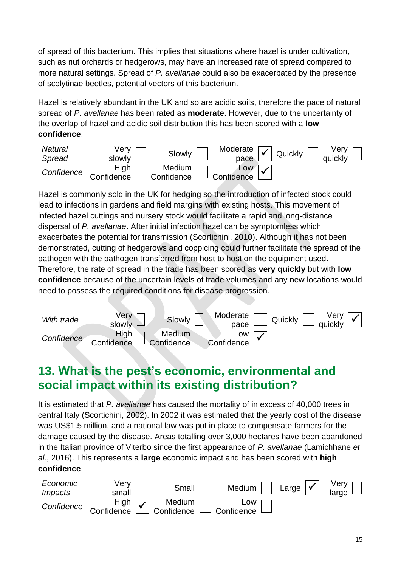of spread of this bacterium. This implies that situations where hazel is under cultivation, such as nut orchards or hedgerows, may have an increased rate of spread compared to more natural settings. Spread of *P. avellanae* could also be exacerbated by the presence of scolytinae beetles, potential vectors of this bacterium.

Hazel is relatively abundant in the UK and so are acidic soils, therefore the pace of natural spread of *P. avellanae* has been rated as **moderate**. However, due to the uncertainty of the overlap of hazel and acidic soil distribution this has been scored with a **low confidence**.



Hazel is commonly sold in the UK for hedging so the introduction of infected stock could lead to infections in gardens and field margins with existing hosts. This movement of infected hazel cuttings and nursery stock would facilitate a rapid and long-distance dispersal of *P. avellanae*. After initial infection hazel can be symptomless which exacerbates the potential for transmission (Scortichini, 2010). Although it has not been demonstrated, cutting of hedgerows and coppicing could further facilitate the spread of the pathogen with the pathogen transferred from host to host on the equipment used. Therefore, the rate of spread in the trade has been scored as **very quickly** but with **low confidence** because of the uncertain levels of trade volumes and any new locations would need to possess the required conditions for disease progression.



### **13. What is the pest's economic, environmental and social impact within its existing distribution?**

It is estimated that *P. avellanae* has caused the mortality of in excess of 40,000 trees in central Italy (Scortichini, 2002). In 2002 it was estimated that the yearly cost of the disease was US\$1.5 million, and a national law was put in place to compensate farmers for the damage caused by the disease. Areas totalling over 3,000 hectares have been abandoned in the Italian province of Viterbo since the first appearance of *P. avellanae* (Lamichhane *et al.*, 2016). This represents a **large** economic impact and has been scored with **high confidence**.

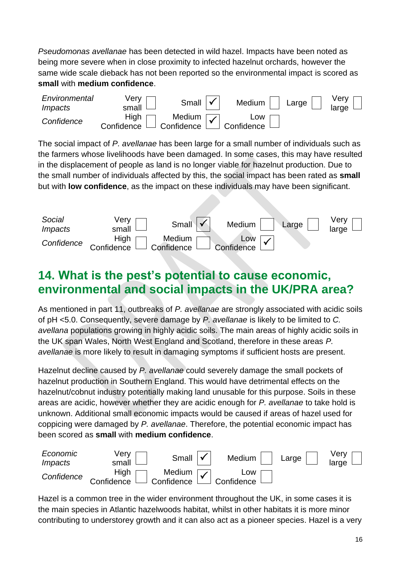*Pseudomonas avellanae* has been detected in wild hazel. Impacts have been noted as being more severe when in close proximity to infected hazelnut orchards, however the same wide scale dieback has not been reported so the environmental impact is scored as **small** with **medium confidence**.



The social impact of *P. avellanae* has been large for a small number of individuals such as the farmers whose livelihoods have been damaged. In some cases, this may have resulted in the displacement of people as land is no longer viable for hazelnut production. Due to the small number of individuals affected by this, the social impact has been rated as **small**  but with **low confidence**, as the impact on these individuals may have been significant.



### **14. What is the pest's potential to cause economic, environmental and social impacts in the UK/PRA area?**

As mentioned in part 11, outbreaks of *P. avellanae* are strongly associated with acidic soils of pH <5.0. Consequently, severe damage by *P. avellanae* is likely to be limited to *C. avellana* populations growing in highly acidic soils. The main areas of highly acidic soils in the UK span Wales, North West England and Scotland, therefore in these areas *P. avellanae* is more likely to result in damaging symptoms if sufficient hosts are present.

Hazelnut decline caused by *P. avellanae* could severely damage the small pockets of hazelnut production in Southern England. This would have detrimental effects on the hazelnut/cobnut industry potentially making land unusable for this purpose. Soils in these areas are acidic, however whether they are acidic enough for *P. avellanae* to take hold is unknown. Additional small economic impacts would be caused if areas of hazel used for coppicing were damaged by *P. avellanae*. Therefore, the potential economic impact has been scored as **small** with **medium confidence**.



Hazel is a common tree in the wider environment throughout the UK, in some cases it is the main species in Atlantic hazelwoods habitat, whilst in other habitats it is more minor contributing to understorey growth and it can also act as a pioneer species. Hazel is a very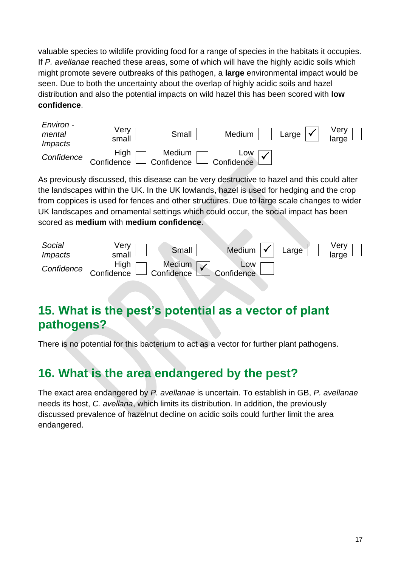valuable species to wildlife providing food for a range of species in the habitats it occupies. If *P. avellanae* reached these areas, some of which will have the highly acidic soils which might promote severe outbreaks of this pathogen, a **large** environmental impact would be seen. Due to both the uncertainty about the overlap of highly acidic soils and hazel distribution and also the potential impacts on wild hazel this has been scored with **low confidence**.



As previously discussed, this disease can be very destructive to hazel and this could alter the landscapes within the UK. In the UK lowlands, hazel is used for hedging and the crop from coppices is used for fences and other structures. Due to large scale changes to wider UK landscapes and ornamental settings which could occur, the social impact has been scored as **medium** with **medium confidence**.



## **15. What is the pest's potential as a vector of plant pathogens?**

There is no potential for this bacterium to act as a vector for further plant pathogens.

#### **16. What is the area endangered by the pest?**

The exact area endangered by *P. avellanae* is uncertain. To establish in GB, *P. avellanae* needs its host, *C. avellana*, which limits its distribution. In addition, the previously discussed prevalence of hazelnut decline on acidic soils could further limit the area endangered.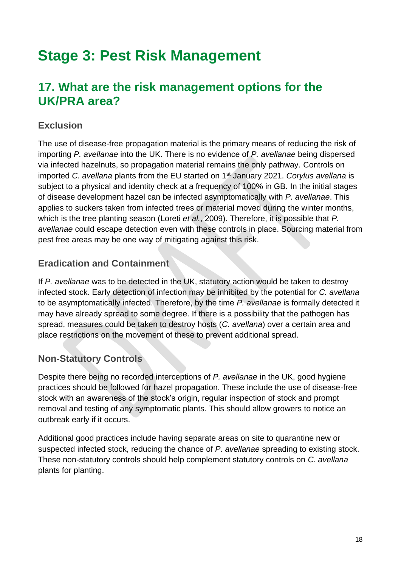## **Stage 3: Pest Risk Management**

#### **17. What are the risk management options for the UK/PRA area?**

#### **Exclusion**

The use of disease-free propagation material is the primary means of reducing the risk of importing *P. avellanae* into the UK. There is no evidence of *P. avellanae* being dispersed via infected hazelnuts, so propagation material remains the only pathway. Controls on imported *C. avellana* plants from the EU started on 1st January 2021. *Corylus avellana* is subject to a physical and identity check at a frequency of 100% in GB. In the initial stages of disease development hazel can be infected asymptomatically with *P. avellanae*. This applies to suckers taken from infected trees or material moved during the winter months, which is the tree planting season (Loreti *et al.*, 2009). Therefore, it is possible that *P. avellanae* could escape detection even with these controls in place. Sourcing material from pest free areas may be one way of mitigating against this risk.

#### **Eradication and Containment**

If *P. avellanae* was to be detected in the UK, statutory action would be taken to destroy infected stock. Early detection of infection may be inhibited by the potential for *C. avellana* to be asymptomatically infected. Therefore, by the time *P. avellanae* is formally detected it may have already spread to some degree. If there is a possibility that the pathogen has spread, measures could be taken to destroy hosts (*C. avellana*) over a certain area and place restrictions on the movement of these to prevent additional spread.

#### **Non-Statutory Controls**

Despite there being no recorded interceptions of *P. avellanae* in the UK, good hygiene practices should be followed for hazel propagation. These include the use of disease-free stock with an awareness of the stock's origin, regular inspection of stock and prompt removal and testing of any symptomatic plants. This should allow growers to notice an outbreak early if it occurs.

Additional good practices include having separate areas on site to quarantine new or suspected infected stock, reducing the chance of *P. avellanae* spreading to existing stock. These non-statutory controls should help complement statutory controls on *C. avellana* plants for planting.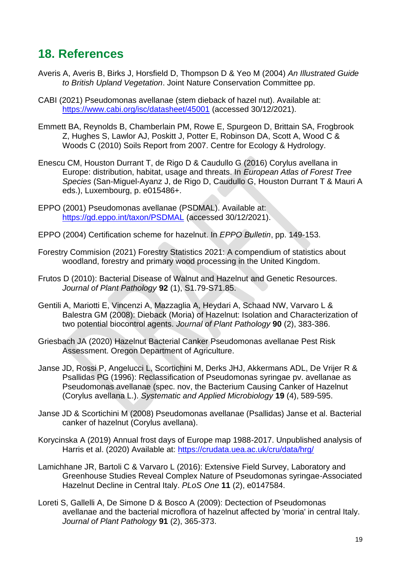#### **18. References**

- Averis A, Averis B, Birks J, Horsfield D, Thompson D & Yeo M (2004) *An Illustrated Guide to British Upland Vegetation*. Joint Nature Conservation Committee pp.
- CABI (2021) Pseudomonas avellanae (stem dieback of hazel nut). Available at: <https://www.cabi.org/isc/datasheet/45001> (accessed 30/12/2021).
- Emmett BA, Reynolds B, Chamberlain PM, Rowe E, Spurgeon D, Brittain SA, Frogbrook Z, Hughes S, Lawlor AJ, Poskitt J, Potter E, Robinson DA, Scott A, Wood C & Woods C (2010) Soils Report from 2007. Centre for Ecology & Hydrology.
- Enescu CM, Houston Durrant T, de Rigo D & Caudullo G (2016) Corylus avellana in Europe: distribution, habitat, usage and threats. In *European Atlas of Forest Tree Species* (San-Miguel-Ayanz J, de Rigo D, Caudullo G, Houston Durrant T & Mauri A eds.), Luxembourg, p. e015486+.
- EPPO (2001) Pseudomonas avellanae (PSDMAL). Available at: <https://gd.eppo.int/taxon/PSDMAL> (accessed 30/12/2021).
- EPPO (2004) Certification scheme for hazelnut. In *EPPO Bulletin*, pp. 149-153.
- Forestry Commision (2021) Forestry Statistics 2021: A compendium of statistics about woodland, forestry and primary wood processing in the United Kingdom.
- Frutos D (2010): Bacterial Disease of Walnut and Hazelnut and Genetic Resources. *Journal of Plant Pathology* **92** (1), S1.79-S71.85.
- Gentili A, Mariotti E, Vincenzi A, Mazzaglia A, Heydari A, Schaad NW, Varvaro L & Balestra GM (2008): Dieback (Moria) of Hazelnut: Isolation and Characterization of two potential biocontrol agents. *Journal of Plant Pathology* **90** (2), 383-386.
- Griesbach JA (2020) Hazelnut Bacterial Canker Pseudomonas avellanae Pest Risk Assessment. Oregon Department of Agriculture.
- Janse JD, Rossi P, Angelucci L, Scortichini M, Derks JHJ, Akkermans ADL, De Vrijer R & Psallidas PG (1996): Reclassification of Pseudomonas syringae pv. avellanae as Pseudomonas avellanae (spec. nov, the Bacterium Causing Canker of Hazelnut (Corylus avellana L.). *Systematic and Applied Microbiology* **19** (4), 589-595.
- Janse JD & Scortichini M (2008) Pseudomonas avellanae (Psallidas) Janse et al. Bacterial canker of hazelnut (Corylus avellana).
- Korycinska A (2019) Annual frost days of Europe map 1988-2017. Unpublished analysis of Harris et al. (2020) Available at:<https://crudata.uea.ac.uk/cru/data/hrg/>
- Lamichhane JR, Bartoli C & Varvaro L (2016): Extensive Field Survey, Laboratory and Greenhouse Studies Reveal Complex Nature of Pseudomonas syringae-Associated Hazelnut Decline in Central Italy. *PLoS One* **11** (2), e0147584.
- Loreti S, Gallelli A, De Simone D & Bosco A (2009): Dectection of Pseudomonas avellanae and the bacterial microflora of hazelnut affected by 'moria' in central Italy. *Journal of Plant Pathology* **91** (2), 365-373.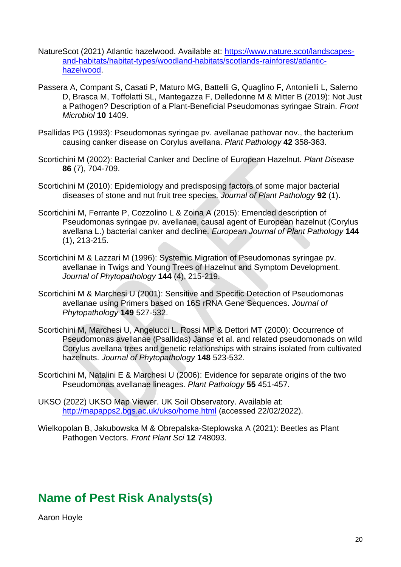- NatureScot (2021) Atlantic hazelwood. Available at: [https://www.nature.scot/landscapes](https://www.nature.scot/landscapes-and-habitats/habitat-types/woodland-habitats/scotlands-rainforest/atlantic-hazelwood)[and-habitats/habitat-types/woodland-habitats/scotlands-rainforest/atlantic](https://www.nature.scot/landscapes-and-habitats/habitat-types/woodland-habitats/scotlands-rainforest/atlantic-hazelwood)[hazelwood.](https://www.nature.scot/landscapes-and-habitats/habitat-types/woodland-habitats/scotlands-rainforest/atlantic-hazelwood)
- Passera A, Compant S, Casati P, Maturo MG, Battelli G, Quaglino F, Antonielli L, Salerno D, Brasca M, Toffolatti SL, Mantegazza F, Delledonne M & Mitter B (2019): Not Just a Pathogen? Description of a Plant-Beneficial Pseudomonas syringae Strain. *Front Microbiol* **10** 1409.
- Psallidas PG (1993): Pseudomonas syringae pv. avellanae pathovar nov., the bacterium causing canker disease on Corylus avellana. *Plant Pathology* **42** 358-363.
- Scortichini M (2002): Bacterial Canker and Decline of European Hazelnut. *Plant Disease* **86** (7), 704-709.
- Scortichini M (2010): Epidemiology and predisposing factors of some major bacterial diseases of stone and nut fruit tree species. *Journal of Plant Pathology* **92** (1).
- Scortichini M, Ferrante P, Cozzolino L & Zoina A (2015): Emended description of Pseudomonas syringae pv. avellanae, causal agent of European hazelnut (Corylus avellana L.) bacterial canker and decline. *European Journal of Plant Pathology* **144** (1), 213-215.
- Scortichini M & Lazzari M (1996): Systemic Migration of Pseudomonas syringae pv. avellanae in Twigs and Young Trees of Hazelnut and Symptom Development. *Journal of Phytopathology* **144** (4), 215-219.
- Scortichini M & Marchesi U (2001): Sensitive and Specific Detection of Pseudomonas avellanae using Primers based on 16S rRNA Gene Sequences. *Journal of Phytopathology* **149** 527-532.
- Scortichini M, Marchesi U, Angelucci L, Rossi MP & Dettori MT (2000): Occurrence of Pseudomonas avellanae (Psallidas) Janse et al. and related pseudomonads on wild Corylus avellana trees and genetic relationships with strains isolated from cultivated hazelnuts. *Journal of Phytopathology* **148** 523-532.
- Scortichini M, Natalini E & Marchesi U (2006): Evidence for separate origins of the two Pseudomonas avellanae lineages. *Plant Pathology* **55** 451-457.
- UKSO (2022) UKSO Map Viewer. UK Soil Observatory. Available at: <http://mapapps2.bgs.ac.uk/ukso/home.html> (accessed 22/02/2022).
- Wielkopolan B, Jakubowska M & Obrepalska-Steplowska A (2021): Beetles as Plant Pathogen Vectors. *Front Plant Sci* **12** 748093.

#### **Name of Pest Risk Analysts(s)**

Aaron Hoyle